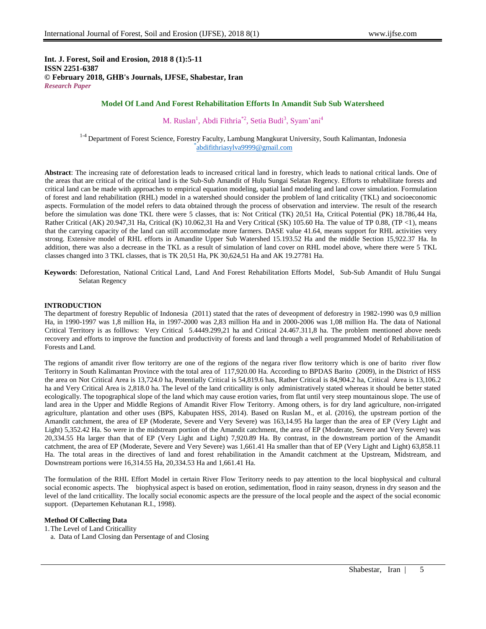**Int. J. Forest, Soil and Erosion, 2018 8 (1):5-11 ISSN 2251-6387 © February 2018, GHB's Journals, IJFSE, Shabestar, Iran** *Research Paper*

# **Model Of Land And Forest Rehabilitation Efforts In Amandit Sub Sub Watersheed**

M. Ruslan<sup>1</sup>, Abdi Fithria<sup>\*2</sup>, Setia Budi<sup>3</sup>, Syam'ani<sup>4</sup>

<sup>1-4</sup> Department of Forest Science, Forestry Faculty, Lambung Mangkurat University, South Kalimantan, Indonesia \* [abdifithriasylva9999@gmail.com](mailto:abdifithriasylva9999@gmail.com)

**Abstract**: The increasing rate of deforestation leads to increased critical land in forestry, which leads to national critical lands. One of the areas that are critical of the critical land is the Sub-Sub Amandit of Hulu Sungai Selatan Regency. Efforts to rehabilitate forests and critical land can be made with approaches to empirical equation modeling, spatial land modeling and land cover simulation. Formulation of forest and land rehabilitation (RHL) model in a watershed should consider the problem of land criticality (TKL) and socioeconomic aspects. Formulation of the model refers to data obtained through the process of observation and interview. The result of the research before the simulation was done TKL there were 5 classes, that is: Not Critical (TK) 20,51 Ha, Critical Potential (PK) 18.786,44 Ha, Rather Critical (AK) 20.947,31 Ha, Critical (K) 10.062,31 Ha and Very Critical (SK) 105.60 Ha. The value of TP 0.88, (TP <1), means that the carrying capacity of the land can still accommodate more farmers. DASE value 41.64, means support for RHL activities very strong. Extensive model of RHL efforts in Amandite Upper Sub Watershed 15.193.52 Ha and the middle Section 15,922.37 Ha. In addition, there was also a decrease in the TKL as a result of simulation of land cover on RHL model above, where there were 5 TKL classes changed into 3 TKL classes, that is TK 20,51 Ha, PK 30,624,51 Ha and AK 19.27781 Ha.

**Keywords**: Deforestation, National Critical Land, Land And Forest Rehabilitation Efforts Model, Sub-Sub Amandit of Hulu Sungai Selatan Regency

### **INTRODUCTION**

The department of forestry Republic of Indonesia (2011) stated that the rates of deveopment of deforestry in 1982-1990 was 0,9 million Ha, in 1990-1997 was 1,8 million Ha, in 1997-2000 was 2,83 million Ha and in 2000-2006 was 1,08 million Ha. The data of National Critical Territory is as folllows: Very Critical 5.4449.299,21 ha and Critical 24.467.311,8 ha. The problem mentioned above needs recovery and efforts to improve the function and productivity of forests and land through a well programmed Model of Rehabilitation of Forests and Land.

The regions of amandit river flow teritorry are one of the regions of the negara river flow teritorry which is one of barito river flow Teritorry in South Kalimantan Province with the total area of 117,920.00 Ha. According to BPDAS Barito (2009), in the District of HSS the area on Not Critical Area is 13,724.0 ha, Potentially Critical is 54,819.6 has, Rather Critical is 84,904.2 ha, Critical Area is 13,106.2 ha and Very Critical Area is 2,818.0 ha. The level of the land criticallity is only administratively stated whereas it should be better stated ecologically. The topographical slope of the land which may cause erotion varies, from flat until very steep mountainous slope. The use of land area in the Upper and Middle Regions of Amandit River Flow Teritorry. Among others, is for dry land agriculture, non-irrigated agriculture, plantation and other uses (BPS, Kabupaten HSS, 2014). Based on Ruslan M., et al. (2016), the upstream portion of the Amandit catchment, the area of EP (Moderate, Severe and Very Severe) was 163,14.95 Ha larger than the area of EP (Very Light and Light) 5,352.42 Ha. So were in the midstream portion of the Amandit catchment, the area of EP (Moderate, Severe and Very Severe) was 20,334.55 Ha larger than that of EP (Very Light and Light) 7,920.89 Ha. By contrast, in the downstream portion of the Amandit catchment, the area of EP (Moderate, Severe and Very Severe) was 1,661.41 Ha smaller than that of EP (Very Light and Light) 63,858.11 Ha. The total areas in the directives of land and forest rehabilitation in the Amandit catchment at the Upstream, Midstream, and Downstream portions were 16,314.55 Ha, 20,334.53 Ha and 1,661.41 Ha.

The formulation of the RHL Effort Model in certain River Flow Teritorry needs to pay attention to the local biophysical and cultural social economic aspects. The biophysical aspect is based on erotion, sedimentation, flood in rainy season, dryness in dry season and the level of the land criticallity. The locally social economic aspects are the pressure of the local people and the aspect of the social economic support. (Departemen Kehutanan R.I., 1998).

### **Method Of Collecting Data**

1.The Level of Land Criticallity

a. Data of Land Closing dan Persentage of and Closing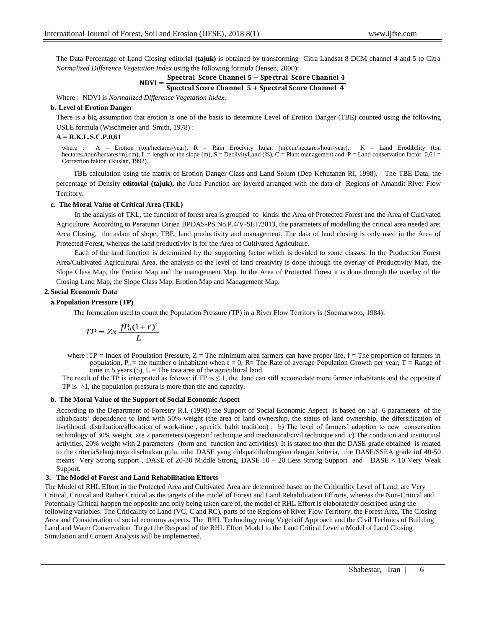The Data Percentage of Land Closing editorial **(tajuk)** is obtained by transforming Citra Landsat 8 DCM channel 4 and 5 to Citra *Normalized Difference Vegetation Index* using the following formula (Jensen, 2000):

$$
Spectral Score Channel 5 - Spectral Score Channel 4
$$

$$
NDV1 = \frac{1}{\text{Spectral Score Channel } 5 + \text{Spectral Score Channel } 4}
$$

Where : NDVI is *Normalized Difference Vegetation Index*.

## **b. Level of Erotion Danger**

There is a big assumption that erotion is one of the basis to determine Level of Erotion Danger (TBE) counted using the following USLE formula (Wischmeier and Smith, 1978) :

### **A = R.K.L.S.C.P.0,61**

where : A = Erotion (ton/hectares/year), R = Rain Erocivity hujan (mj.cm/hectares/hour-year), K = Land Erodibility (ton hectares.hour/hectares/mj.cm), L = length of the slope (m), S = DeclivityLand (%), C = Plant management and P = Land conservation factor 0,61 = Correction faktor (Ruslan, 1992).

TBE calculation using the matrix of Erotion Danger Class and Land Solum (Dep Kehutanan RI, 1998). The TBE Data, the percentage of Density **editorial (tajuk),** the Area Function are layered arranged with the data of Regions of Amandit River Flow Territory.

### **c. The Moral Value of Critical Area (TKL)**

In the analysis of TKL, the function of forest area is grouped to kinds: the Area of Protected Forest and the Area of Cultivated Agriculture. According to Peraturan Dirjen BPDAS-PS No.P.4/V-SET/2013, the parameters of modelling the critical area needed are: Area Closing, the aslant of slope, TBE, land pruductivity and management. The data of land closing is only used in the Area of Protected Forest, whereas the land productivity is for the Area of Cultivated Agriculture.

Each of the land function is determined by the supporting factor which is devided to some classes. In the Production Forest Area/Cultivated Agricultural Area, the analysis of the level of land creativity is done through the overlay of Productivity Map, the Slope Class Map, the Erotion Map and the management Map. In the Area of Protected Forest it is done through the overlay of the Closing Land Map, the Slope Class Map, Erotion Map and Management Map.

### **2.Social Economic Data**

### **a.Population Pressure (TP)**

The formuation used to count the Population Pressure (TP) in a River Flow Territory is (Soemarwoto, 1984):

$$
TP = Zx \frac{fP_0(1+r)^t}{L}
$$

where :TP = Index of Population Pressure,  $Z =$ The minimum area farmers can have proper life,  $f =$ The proportion of farmers in population,  $P_0$  = the number o inhabitant when t = 0, R = The Rate of average Population Growth per year, T = Range of time in 5 years (5),  $L =$ The tota area of the agricultural land.

The result of the TP is interprated as folows: if TP is  $\leq 1$ , the land can still accomodate more farmer inhabitants and the opposite if TP is >1, the population pressura is more than the and capacity.

### **b. The Moral Value of the Support of Social Economic Aspect**

According to the Department of Forestry R.I. (1998) the Support of Social Economic Aspect is based on : a) 6 parameters of the inhabitants' dependence to land with 50% weight (the area of land ownership, the status of land ownership, the difersification of livelihood, distribution/allocation of work-time , specific habit tradition) , b) The level of farmers' adoption to new conservation technology of 30% weight are 2 parameters (vegetatif technique and mechanical/civil technique and c) The condition and institutinal activities, 20% weight with 2 parameters (form and function and activities). It is stated too that the DASE grade obtained is related to the criteriaSelanjutnya disebutkan pula, nilai DASE yang didapatdihubungkan dengan kriteria, the DASE/SSEA grade iof 40-50 means Very Strong support , DASE of 20-30 Middle Strong, DASE 10 – 20 Less Strong Support and DASE < 10 Very Weak Support.

## **3. The Model of Forest and Land Rehabilitation Efforts**

The Model of RHL Effort in the Protected Area and Cultivated Area are determined based on the Criticallity Level of Land; are Very Critical, Critical and Rather Critical as the targets of the model of Forest and Land Rehabilitation Effrorts, whereas the Non-Critical and Potentially Critical happen the opposite and only being taken care of, the model of RHL Effort is elaboratedly described using the following variables: The Criticallity of Land (VC, C and RC), parts of the Regions of River Flow Territory, the Forest Area, The Closing Area and Consideration of social economy aspects. The RHL Technology using Vegetatif Approach and the Civil Technics of Building Land and Water Conservation To get the Respond of the RHL Effort Model to the Land Critical Level a Model of Land Closing Simulation and Content Analysis will be implemented.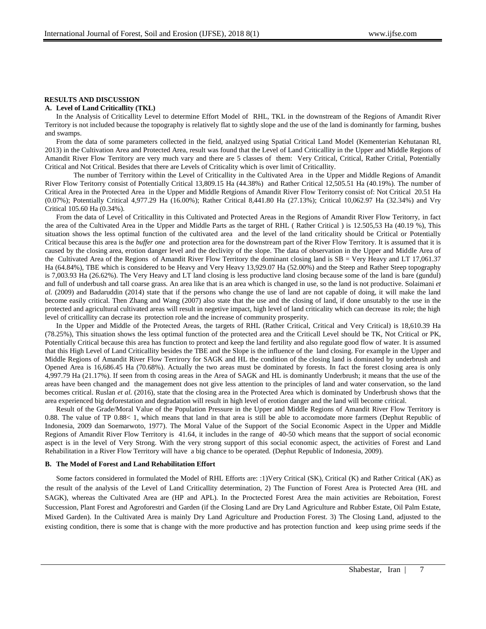### **RESULTS AND DISCUSSION**

### **A. Level of Land Criticallity (TKL)**

In the Analysis of Criticallity Level to determine Effort Model of RHL, TKL in the downstream of the Regions of Amandit River Territory is not included because the topography is relatively flat to sightly slope and the use of the land is dominantly for farming, bushes and swamps.

From the data of some parameters collected in the field, analzyed using Spatial Critical Land Model (Kementerian Kehutanan RI, 2013) in the Cultivation Area and Protected Area, result was found that the Level of Land Criticallity in the Upper and Middle Regions of Amandit River Flow Territory are very much vary and there are 5 classes of them: Very Critical, Critical, Rather Critial, Potentially Critical and Not Critical. Besides that there are Levels of Criticality which is over limit of Criticallity.

The number of Territory within the Level of Criticallity in the Cultivated Area in the Upper and Middle Regions of Amandit River Flow Teritorry consist of Potentially Critical 13,809.15 Ha (44.38%) and Rather Critical 12,505.51 Ha (40.19%). The number of Critical Area in the Protected Area in the Upper and Middle Retgions of Amandit River Flow Teritorry consist of: Not Critical 20.51 Ha (0.07%); Potentially Critical 4,977.29 Ha (16.00%); Rather Critical 8,441.80 Ha (27.13%); Critical 10,062.97 Ha (32.34%) and Vry Critical 105.60 Ha (0.34%).

From the data of Level of Criticallity in this Cultivated and Protected Areas in the Regions of Amandit River Flow Teritorry, in fact the area of the Cultivated Area in the Upper and Middle Parts as the target of RHL ( Rather Critical ) is 12.505,53 Ha (40.19 %), This situation shows the less optimal function of the cultivated area and the level of the land criticality should be Critical or Potentially Critical because this area is the *buffer one* and protection area for the downstream part of the River Flow Territory. It is assumed that it is caused by the closing area, erotion danger level and the declivity of the slope. The data of observation in the Upper and Middle Area of the Cultivated Area of the Regions of Amandit River Flow Territory the dominant closing land is SB = Very Heavy and LT 17,061.37 Ha (64.84%), TBE which is considered to be Heavy and Very Heavy 13,929.07 Ha (52.00%) and the Steep and Rather Steep topography is 7,003.93 Ha (26.62%). The Very Heavy and LT land closing is less productive land closing because some of the land is bare (gundul) and full of underbush and tall coarse grass. An area like that is an area which is changed in use, so the land is not productive. Solaimani *et al.* (2009) and Badaruddin (2014) state that if the persons who change the use of land are not capable of doing, it will make the land become easily critical. Then Zhang and Wang (2007) also state that the use and the closing of land, if done unsutably to the use in the protected and agricultural cultivated areas will result in negetive impact, high level of land criticality which can decrease its role; the high level of criticallity can decrase its protection role and the increase of community prosperity.

In the Upper and Middle of the Protected Areas, the targets of RHL (Rather Critical, Critical and Very Critical) is 18,610.39 Ha (78.25%), This situation shows the less optimal function of the protected area and the Criticall Level should be TK, Not Critical or PK, Potentially Critical because this area has function to protect and keep the land fertility and also regulate good flow of water. It is assumed that this High Level of Land Criticallity besides the TBE and the Slope is the influence of the land closing. For example in the Upper and Middle Regions of Amandit River Flow Terrirory for SAGK and HL the condition of the closing land is dominated by underbrush and Opened Area is 16,686.45 Ha (70.68%). Actually the two areas must be dominated by forests. In fact the forest closing area is only 4,997.79 Ha (21.17%). If seen from th cosing areas in the Area of SAGK and HL is dominantly Underbrush; it means that the use of the areas have been changed and the management does not give less attention to the principles of land and water conservation, so the land becomes critical. Ruslan *et al.* (2016), state that the closing area in the Protected Area which is dominated by Underbrush shows that the area experienced big deforestation and degradation will result in high level of erotion danger and the land will become critical.

Result of the Grade/Moral Value of the Population Pressure in the Upper and Middle Regions of Amandit River Flow Territory is 0.88. The value of TP 0.88< 1, which means that land in that area is still be able to accomodate more farmers (Dephut Republic of Indonesia, 2009 dan Soemarwoto, 1977). The Moral Value of the Support of the Social Economic Aspect in the Upper and Middle Regions of Amandit River Flow Territory is 41.64, it includes in the range of 40-50 which means that the support of social economic aspect is in the level of Very Strong. With the very strong support of this social economic aspect, the activities of Forest and Land Rehabilitation in a River Flow Territory will have a big chance to be operated. (Dephut Republic of Indonesia, 2009).

#### **B. The Model of Forest and Land Rehabilitation Effort**

Some factors considered in formulated the Model of RHL Efforts are: :1)Very Critical (SK), Critical (K) and Rather Critical (AK) as the result of the analysis of the Level of Land Criticallity determination, 2) The Function of Forest Area is Protected Area (HL and SAGK), whereas the Cultivated Area are (HP and APL). In the Proctected Forest Area the main activities are Reboitation, Forest Succession, Plant Forest and Agroforestri and Garden (if the Closing Land are Dry Land Agriculture and Rubber Estate, Oil Palm Estate, Mixed Garden). In the Cultivated Area is mainly Dry Land Agriculture and Production Forest. 3) The Closing Land, adjusted to the existing condition, there is some that is change with the more productive and has protection function and keep using prime seeds if the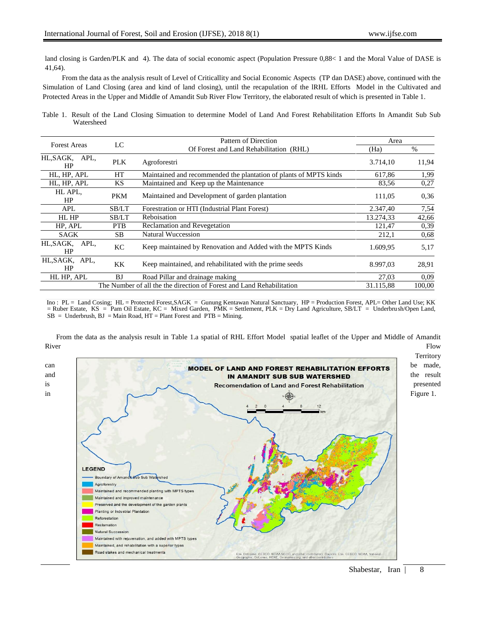land closing is Garden/PLK and 4). The data of social economic aspect (Population Pressure 0,88< 1 and the Moral Value of DASE is 41,64).

From the data as the analysis result of Level of Criticallity and Social Economic Aspects (TP dan DASE) above, continued with the Simulation of Land Closing (area and kind of land closing), until the recapulation of the lRHL Efforts Model in the Cultivated and Protected Areas in the Upper and Middle of Amandit Sub River Flow Territory, the elaborated result of which is presented in Table 1.

Table 1. Result of the Land Closing Simuation to determine Model of Land And Forest Rehabilitation Efforts In Amandit Sub Sub Watersheed

| <b>Forest Areas</b>                                                   | LC         | Pattern of Direction                                              | Area      |       |
|-----------------------------------------------------------------------|------------|-------------------------------------------------------------------|-----------|-------|
|                                                                       |            | Of Forest and Land Rehabilitation (RHL)                           | (Ha)      | $\%$  |
| HL, SAGK, APL,<br>HP                                                  | <b>PLK</b> | Agroforestri                                                      | 3.714,10  | 11,94 |
| HL, HP, APL                                                           | HT         | Maintained and recommended the plantation of plants of MPTS kinds | 617.86    | 1,99  |
| HL, HP, APL                                                           | KS         | Maintained and Keep up the Maintenance                            | 83,56     | 0,27  |
| HL APL,<br>HP                                                         | <b>PKM</b> | Maintained and Development of garden plantation                   | 111,05    | 0.36  |
| APL                                                                   | SB/LT      | Forestration or HTI (Industrial Plant Forest)                     | 2.347,40  | 7,54  |
| HL HP                                                                 | SB/LT      | Reboisation                                                       | 13.274,33 | 42,66 |
| HP, APL                                                               | <b>PTB</b> | <b>Reclamation and Revegetation</b>                               | 121,47    | 0,39  |
| SAGK                                                                  | <b>SB</b>  | <b>Natural Wuccession</b>                                         | 212,1     | 0.68  |
| APL,<br>HL,SAGK,<br>HP                                                | KC         | Keep maintained by Renovation and Added with the MPTS Kinds       | 1.609,95  | 5,17  |
| HL, SAGK, APL,<br>HP                                                  | KK         | Keep maintained, and rehabilitated with the prime seeds           | 8.997,03  | 28,91 |
| HL HP. APL                                                            | BJ         | Road Pillar and drainage making                                   | 27.03     | 0.09  |
| The Number of all the the direction of Forest and Land Rehabilitation | 31.115.88  | 100.00                                                            |           |       |

Ino : PL = Land Cosing; HL = Protected Forest, SAGK = Gunung Kentawan Natural Sanctuary, HP = Production Forest, APL= Other Land Use; KK = Ruber Estate, KS = Pam Oil Estate, KC = Mixed Garden, PMK = Settlement, PLK = Dry Land Agriculture, SB/LT = Underbrush/Open Land,  $SB =$  Underbrush,  $BJ =$ Main Road,  $HT =$ Plant Forest and  $PTB =$ Mining.

From the data as the analysis result in Table 1.a spatial of RHL Effort Model spatial leaflet of the Upper and Middle of Amandit River the contract of the contract of the contract of the contract of the contract of the contract of the contract of the contract of the contract of the contract of the contract of the contract of the contract of the cont

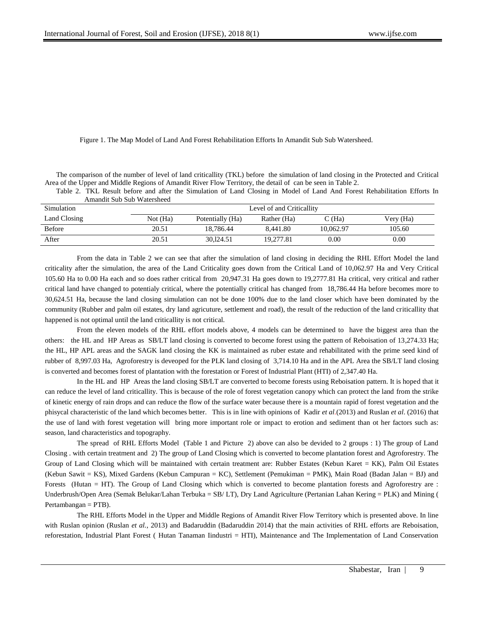Figure 1. The Map Model of Land And Forest Rehabilitation Efforts In Amandit Sub Sub Watersheed.

The comparison of the number of level of land criticallity (TKL) before the simulation of land closing in the Protected and Critical Area of the Upper and Middle Regions of Amandit River Flow Territory, the detail of can be seen in Table 2.

Table 2. TKL Result before and after the Simulation of Land Closing in Model of Land And Forest Rehabilitation Efforts In Amandit Sub Sub Watersheed

| Simulation    | Level of and Criticallity |                  |             |                   |           |  |  |
|---------------|---------------------------|------------------|-------------|-------------------|-----------|--|--|
| Land Closing  | Not (Ha)                  | Potentially (Ha) | Rather (Ha) | $\mathbb{C}$ (Ha) | Very (Ha) |  |  |
| <b>Before</b> | 20.51                     | 18.786.44        | 8.441.80    | 10.062.97         | 105.60    |  |  |
| After         | 20.51                     | 30.124.51        | 19.277.81   | $0.00\,$          | 0.00      |  |  |

From the data in Table 2 we can see that after the simulation of land closing in deciding the RHL Effort Model the land criticality after the simulation, the area of the Land Criticality goes down from the Critical Land of 10,062.97 Ha and Very Critical 105.60 Ha to 0.00 Ha each and so does rather critical from 20,947.31 Ha goes down to 19,2777.81 Ha critical, very critical and rather critical land have changed to potentialy critical, where the potentially critical has changed from 18,786.44 Ha before becomes more to 30,624.51 Ha, because the land closing simulation can not be done 100% due to the land closer which have been dominated by the community (Rubber and palm oil estates, dry land agricuture, settlement and road), the result of the reduction of the land criticallity that happened is not optimal until the land criticallity is not critical.

From the eleven models of the RHL effort models above, 4 models can be determined to have the biggest area than the others: the HL and HP Areas as SB/LT land closing is converted to become forest using the pattern of Reboisation of 13,274.33 Ha; the HL, HP APL areas and the SAGK land closing the KK is maintained as ruber estate and rehabilitated with the prime seed kind of rubber of 8,997.03 Ha, Agroforestry is deveoped for the PLK land closing of 3,714.10 Ha and in the APL Area the SB/LT land closing is converted and becomes forest of plantation with the forestation or Forest of Industrial Plant (HTI) of 2,347.40 Ha.

In the HL and HP Areas the land closing SB/LT are converted to become forests using Reboisation pattern. It is hoped that it can reduce the level of land criticallity. This is because of the role of forest vegetation canopy which can protect the land from the strike of kinetic energy of rain drops and can reduce the flow of the surface water because there is a mountain rapid of forest vegetation and the phisycal characteristic of the land which becomes better. This is in line with opinions of Kadir *et al.*(2013) and Ruslan *et al*. (2016) that the use of land with forest vegetation will bring more important role or impact to erotion and sediment than ot her factors such as: season, land characteristics and topography.

The spread of RHL Efforts Model (Table 1 and Picture 2) above can also be devided to 2 groups : 1) The group of Land Closing . with certain treatment and 2) The group of Land Closing which is converted to become plantation forest and Agroforestry. The Group of Land Closing which will be maintained with certain treatment are: Rubber Estates (Kebun Karet = KK), Palm Oil Estates (Kebun Sawit = KS), Mixed Gardens (Kebun Campuran = KC), Settlement (Pemukiman = PMK), Main Road (Badan Jalan = BJ) and Forests (Hutan = HT). The Group of Land Closing which which is converted to become plantation forests and Agroforestry are : Underbrush/Open Area (Semak Belukar/Lahan Terbuka = SB/ LT), Dry Land Agriculture (Pertanian Lahan Kering = PLK) and Mining ( Pertambangan = PTB).

The RHL Efforts Model in the Upper and Middle Regions of Amandit River Flow Territory which is presented above. In line with Ruslan opinion (Ruslan *et al.*, 2013) and Badaruddin (Badaruddin 2014) that the main activities of RHL efforts are Reboisation, reforestation, Industrial Plant Forest ( Hutan Tanaman Iindustri = HTI), Maintenance and The Implementation of Land Conservation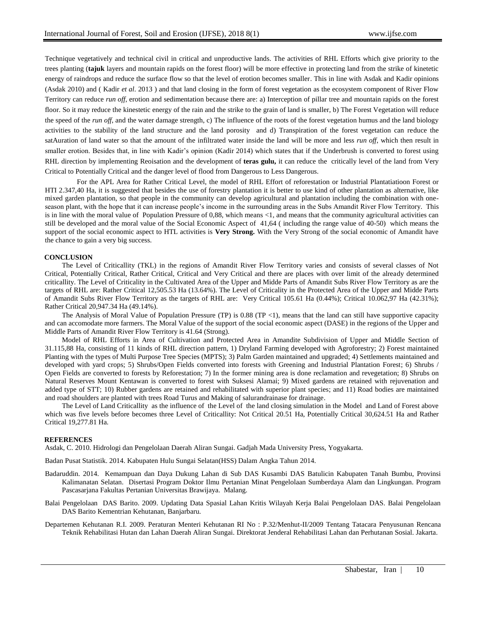Technique vegetatively and technical civil in critical and unproductive lands. The activities of RHL Efforts which give priority to the trees planting (**tajuk** layers and mountain rapids on the forest floor) will be more effective in protecting land from the strike of kinetetic energy of raindrops and reduce the surface flow so that the level of erotion becomes smaller. This in line with Asdak and Kadir opinions (Asdak 2010) and ( Kadir *et al*. 2013 ) and that land closing in the form of forest vegetation as the ecosystem component of River Flow Territory can reduce *run off*, erotion and sedimentation because there are: a) Interception of pillar tree and mountain rapids on the forest floor. So it may reduce the kinestetic energy of the rain and the strike to the grain of land is smaller, b) The Forest Vegetation will reduce the speed of the *run off*, and the water damage strength, c) The influence of the roots of the forest vegetation humus and the land biology activities to the stability of the land structure and the land porosity and d) Transpiration of the forest vegetation can reduce the satAuration of land water so that the amount of the infiltrated water inside the land will be more and less *run off*, which then result in smaller erotion. Besides that, in line with Kadir's opinion (Kadir 2014) which states that if the Underbrush is converted to forest using RHL direction by implementing Reoisation and the development of **teras gulu,** it can reduce the critically level of the land from Very Critical to Potentially Critical and the danger level of flood from Dangerous to Less Dangerous.

For the APL Area for Rather Critical Level, the model of RHL Effort of reforestation or Industrial Plantatiatioon Forest or HTI 2.347,40 Ha, it is suggested that besides the use of forestry plantation it is better to use kind of other plantation as alternative, like mixed garden plantation, so that people in the community can develop agricultural and plantation including the combination with oneseason plant, with the hope that it can increase people's income in the surrounding areas in the Subs Amandit River Flow Territory. This is in line with the moral value of Population Pressure of 0,88, which means <1, and means that the community agricultural activities can still be developed and the moral value of the Social Economic Aspect of 41,64 ( including the range value of 40-50) which means the support of the social economic aspect to HTL activities is **Very Strong.** With the Very Strong of the social economic of Amandit have the chance to gain a very big success.

### **CONCLUSION**

The Level of Criticallity (TKL) in the regions of Amandit River Flow Territory varies and consists of several classes of Not Critical, Potentially Critical, Rather Critical, Critical and Very Critical and there are places with over limit of the already determined criticallity. The Level of Criticality in the Cultivated Area of the Upper and Midde Parts of Amandit Subs River Flow Territory as are the targets of RHL are: Rather Critical 12,505.53 Ha (13.64%). The Level of Criticality in the Protected Area of the Upper and Midde Parts of Amandit Subs River Flow Territory as the targets of RHL are: Very Critical 105.61 Ha (0.44%); Critical 10.062,97 Ha (42.31%); Rather Critical 20,947.34 Ha (49.14%).

The Analysis of Moral Value of Population Pressure (TP) is  $0.88$  (TP <1), means that the land can still have supportive capacity and can accomodate more farmers. The Moral Value of the support of the social economic aspect (DASE) in the regions of the Upper and Middle Parts of Amandit River Flow Territory is 41.64 (Strong).

Model of RHL Efforts in Area of Cultivation and Protected Area in Amandite Subdivision of Upper and Middle Section of 31.115,88 Ha, consisting of 11 kinds of RHL direction pattern, 1) Dryland Farming developed with Agroforestry; 2) Forest maintained Planting with the types of Multi Purpose Tree Species (MPTS); 3) Palm Garden maintained and upgraded; 4) Settlements maintained and developed with yard crops; 5) Shrubs/Open Fields converted into forests with Greening and Industrial Plantation Forest; 6) Shrubs / Open Fields are converted to forests by Reforestation; 7) In the former mining area is done reclamation and revegetation; 8) Shrubs on Natural Reserves Mount Kentawan is converted to forest with Suksesi Alamai; 9) Mixed gardens are retained with rejuvenation and added type of STT; 10) Rubber gardens are retained and rehabilitated with superior plant species; and 11) Road bodies are maintained and road shoulders are planted with trees Road Turus and Making of salurandrainase for drainage.

The Level of Land Criticallity as the influence of the Level of the land closing simulation in the Model and Land of Forest above which was five levels before becomes three Level of Criticallity: Not Critical 20.51 Ha, Potentially Critical 30,624.51 Ha and Rather Critical 19,277.81 Ha.

#### **REFERENCES**

Asdak, C. 2010. Hidrologi dan Pengelolaan Daerah Aliran Sungai. Gadjah Mada University Press, Yogyakarta.

Badan Pusat Statistik. 2014. Kabupaten Hulu Sungai Selatan(HSS) Dalam Angka Tahun 2014.

- Badaruddin. 2014. Kemampuan dan Daya Dukung Lahan di Sub DAS Kusambi DAS Batulicin Kabupaten Tanah Bumbu, Provinsi Kalimanatan Selatan. Disertasi Program Doktor Ilmu Pertanian Minat Pengelolaan Sumberdaya Alam dan Lingkungan. Program Pascasarjana Fakultas Pertanian Universitas Brawijaya. Malang.
- Balai Pengelolaan DAS Barito. 2009. Updating Data Spasial Lahan Kritis Wilayah Kerja Balai Pengelolaan DAS. Balai Pengelolaan DAS Barito Kementrian Kehutanan, Banjarbaru.

Departemen Kehutanan R.I. 2009. Peraturan Menteri Kehutanan RI No : P.32/Menhut-II/2009 Tentang Tatacara Penyusunan Rencana Teknik Rehabilitasi Hutan dan Lahan Daerah Aliran Sungai. Direktorat Jenderal Rehabilitasi Lahan dan Perhutanan Sosial. Jakarta.